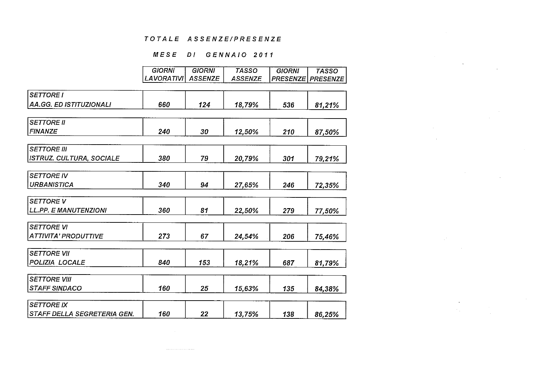## MESE DI GENNAIO 2011

 $\sim$ 

 $\sim 10^7$  $\sim$ 

|                                 | <b>GIORNI</b>     | <b>GIORNI</b>  | <b>TASSO</b>   | <b>GIORNI</b>   | <b>TASSO</b>    |
|---------------------------------|-------------------|----------------|----------------|-----------------|-----------------|
|                                 | <b>LAVORATIVI</b> | <b>ASSENZE</b> | <b>ASSENZE</b> | <b>PRESENZE</b> | <b>PRESENZE</b> |
| <b>SETTORE I</b>                |                   |                |                |                 |                 |
| AA.GG. ED ISTITUZIONALI         | 660               | 124            | 18,79%         | 536             | 81,21%          |
|                                 |                   |                |                |                 |                 |
| <b>SETTORE II</b>               |                   |                |                |                 |                 |
| <b>FINANZE</b>                  | 240               | 30             | 12,50%         | 210             | 87,50%          |
| <b>SETTORE III</b>              |                   |                |                |                 |                 |
| <b>ISTRUZ. CULTURA, SOCIALE</b> | 380               | 79             | 20,79%         | 301             | 79,21%          |
|                                 |                   |                |                |                 |                 |
| <b>SETTORE IV</b>               |                   |                |                |                 |                 |
| <b>URBANISTICA</b>              | 340               | 94             | 27,65%         | 246             | 72,35%          |
| <b>SETTORE V</b>                |                   |                |                |                 |                 |
| <b>LL.PP. E MANUTENZIONI</b>    | 360               | 81             | 22,50%         | 279             | 77,50%          |
|                                 |                   |                |                |                 |                 |
| <b>SETTORE VI</b>               |                   |                |                |                 |                 |
| <b>ATTIVITA' PRODUTTIVE</b>     | 273               | 67             | 24,54%         | 206             | 75,46%          |
| <b>SETTORE VII</b>              |                   |                |                |                 |                 |
| POLIZIA LOCALE                  | 840               | 153            | 18,21%         | 687             | 81,79%          |
| <b>SETTORE VIII</b>             |                   |                |                |                 |                 |
| <b>STAFF SINDACO</b>            | 160               | 25             | 15,63%         | 135             | 84,38%          |
| <b>SETTORE IX</b>               |                   |                |                |                 |                 |
|                                 | 160               |                |                |                 |                 |
| STAFF DELLA SEGRETERIA GEN.     |                   | 22             | 13,75%         | 138             | 86,25%          |

 $\sim 10^{11}$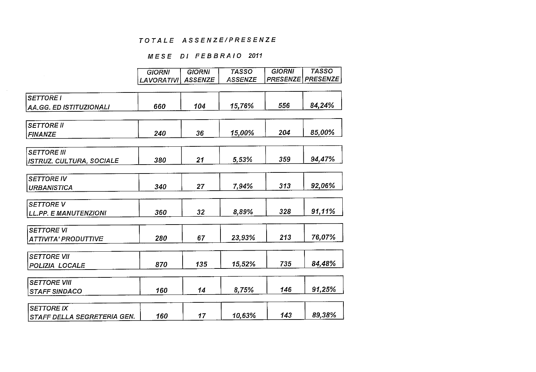## MESE DI FEBBRAIO 2011

|                                 | <b>GIORNI</b> | <b>GIORNI</b>  | <b>TASSO</b>   | <b>GIORNI</b>   | <b>TASSO</b>    |
|---------------------------------|---------------|----------------|----------------|-----------------|-----------------|
|                                 | LAVORATIVI    | <b>ASSENZE</b> | <b>ASSENZE</b> | <b>PRESENZE</b> | <b>PRESENZE</b> |
|                                 |               |                |                |                 |                 |
| <b>SETTORE I</b>                |               |                |                |                 |                 |
| <b>AA.GG. ED ISTITUZIONALI</b>  | 660           | 104            | 15,76%         | 556             | 84,24%          |
|                                 |               |                |                |                 |                 |
| <b>SETTORE II</b>               |               |                |                |                 |                 |
| <b>FINANZE</b>                  | 240           | 36             | 15,00%         | 204             | 85,00%          |
|                                 |               |                |                |                 |                 |
| <b>SETTORE III</b>              |               |                |                |                 |                 |
| <b>ISTRUZ. CULTURA, SOCIALE</b> | 380           | 21             | 5,53%          | 359             | 94,47%          |
|                                 |               |                |                |                 |                 |
| <b>SETTORE IV</b>               |               |                |                |                 |                 |
| <b>URBANISTICA</b>              | 340           | 27             | 7,94%          | 313             | 92,06%          |
|                                 |               |                |                |                 |                 |
| <b>SETTORE V</b>                |               |                |                |                 |                 |
| <b>LL.PP. E MANUTENZIONI</b>    | 360           | 32             | 8,89%          | 328             | 91,11%          |
|                                 |               |                |                |                 |                 |
| <b>SETTORE VI</b>               |               |                |                |                 |                 |
| <b>ATTIVITA' PRODUTTIVE</b>     | 280           | 67             | 23,93%         | 213             | 76,07%          |
|                                 |               |                |                |                 |                 |
| <b>SETTORE VII</b>              |               |                |                |                 |                 |
| POLIZIA LOCALE                  | 870           | 135            | 15,52%         | 735             | 84,48%          |
|                                 |               |                |                |                 |                 |
| <b>SETTORE VIII</b>             |               |                |                |                 |                 |
| <b>STAFF SINDACO</b>            | 160           | 14             | 8,75%          | 146             | 91,25%          |
|                                 |               |                |                |                 |                 |
| <b>SETTORE IX</b>               | 160           | 17             | 10,63%         | 143             | 89,38%          |
| STAFF DELLA SEGRETERIA GEN.     |               |                |                |                 |                 |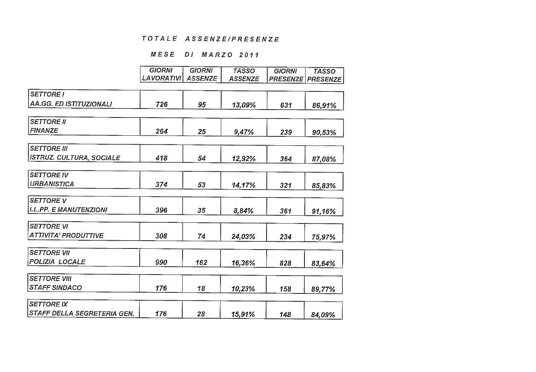## MESE DI MARZO 2011

|                                 | <b>GIORNI</b>     | <b>GIORNI</b>  | <b>TASSO</b>   | <b>GIORNI</b>   | <b>TASSO</b>    |
|---------------------------------|-------------------|----------------|----------------|-----------------|-----------------|
|                                 | <b>LAVORATIVI</b> | <b>ASSENZE</b> | <b>ASSENZE</b> | <b>PRESENZE</b> | <b>PRESENZE</b> |
|                                 |                   |                |                |                 |                 |
| <b>SETTORE I</b>                |                   |                |                |                 |                 |
| <b>AA.GG. ED ISTITUZIONALI</b>  | 726               | 95             | 13,09%         | 631             | 86,91%          |
|                                 |                   |                |                |                 |                 |
| <b>SETTORE II</b>               |                   |                |                |                 |                 |
| <b>FINANZE</b>                  | 264               | 25             | 9,47%          | 239             | 90,53%          |
|                                 |                   |                |                |                 |                 |
| <b>SETTORE III</b>              |                   |                |                |                 |                 |
| <b>ISTRUZ. CULTURA, SOCIALE</b> | 418               | 54             | 12,92%         | 364             | 87.08%          |
| <b>SETTORE IV</b>               |                   |                |                |                 |                 |
|                                 |                   |                |                |                 |                 |
| <b>URBANISTICA</b>              | 374               | 53             | 14,17%         | 321             | 85,83%          |
| <b>SETTORE V</b>                |                   |                |                |                 |                 |
| <b>LL.PP. E MANUTENZIONI</b>    | 396               | 35             | 8,84%          | 361             | 91,16%          |
|                                 |                   |                |                |                 |                 |
| <b>SETTORE VI</b>               |                   |                |                |                 |                 |
| ATTIVITA' PRODUTTIVE            | 308               | 74             | 24,03%         | 234             | 75,97%          |
| <b>SETTORE VII</b>              |                   |                |                |                 |                 |
| POLIZIA LOCALE                  | 990               | 162            |                |                 |                 |
|                                 |                   |                | 16,36%         | 828             | 83,64%          |
| <b>SETTORE VIII</b>             |                   |                |                |                 |                 |
| <b>STAFF SINDACO</b>            | 176               | 18             | 10,23%         | 158             | 89,77%          |
|                                 |                   |                |                |                 |                 |
| <b>SETTORE IX</b>               |                   |                |                |                 |                 |
| STAFF DELLA SEGRETERIA GEN.     | 176               | 28             | 15,91%         | 148             | 84,09%          |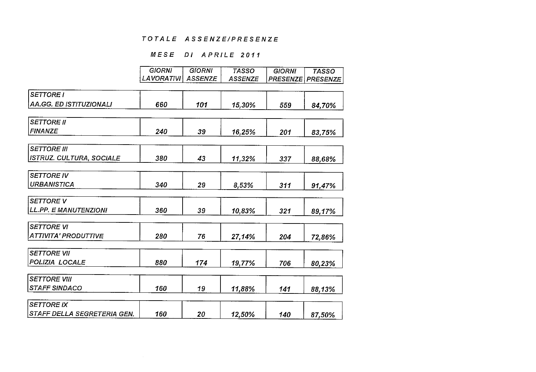## MESE DI APRILE 2011

|                                 | <b>GIORNI</b> | <b>GIORNI</b>  | <b>TASSO</b>   | <b>GIORNI</b> | <b>TASSO</b>             |
|---------------------------------|---------------|----------------|----------------|---------------|--------------------------|
|                                 | LAVORATIVI    | <b>ASSENZE</b> | <b>ASSENZE</b> |               | <b>PRESENZE PRESENZE</b> |
|                                 |               |                |                |               |                          |
| <b>SETTORE I</b>                |               |                |                |               |                          |
| <b>AA.GG. ED ISTITUZIONALI</b>  | 660           | 101            | 15,30%         | 559           | 84,70%                   |
|                                 |               |                |                |               |                          |
| <b>SETTORE II</b>               |               |                |                |               |                          |
| <b>FINANZE</b>                  | 240           | 39             | 16,25%         | 201           | 83,75%                   |
|                                 |               |                |                |               |                          |
| <b>SETTORE III</b>              |               |                |                |               |                          |
| <b>ISTRUZ. CULTURA, SOCIALE</b> | 380           | 43             | 11,32%         | 337           | 88.68%                   |
|                                 |               |                |                |               |                          |
| <b>SETTORE IV</b>               |               |                |                |               |                          |
| <b>URBANISTICA</b>              | 340           | 29             | 8.53%          | 311           | 91,47%                   |
|                                 |               |                |                |               |                          |
| <b>SETTORE V</b>                |               |                |                |               |                          |
| <b>LL.PP. E MANUTENZIONI</b>    | 360           | 39             | 10,83%         | 321           | 89,17%                   |
| <b>SETTORE VI</b>               |               |                |                |               |                          |
|                                 |               |                |                |               |                          |
| <b>ATTIVITA' PRODUTTIVE</b>     | 280           | 76             | 27,14%         | 204           | 72,86%                   |
| <b>SETTORE VII</b>              |               |                |                |               |                          |
| POLIZIA LOCALE                  | 880           | 174            |                |               |                          |
|                                 |               |                | 19,77%         | 706           | 80,23%                   |
| <b>SETTORE VIII</b>             |               |                |                |               |                          |
| <b>STAFF SINDACO</b>            | 160           | 19             | 11,88%         | 141           | 88,13%                   |
|                                 |               |                |                |               |                          |
| <b>SETTORE IX</b>               |               |                |                |               |                          |
| STAFF DELLA SEGRETERIA GEN.     | 160           | 20             | 12,50%         | 140           | 87,50%                   |

 $\sim 10^7$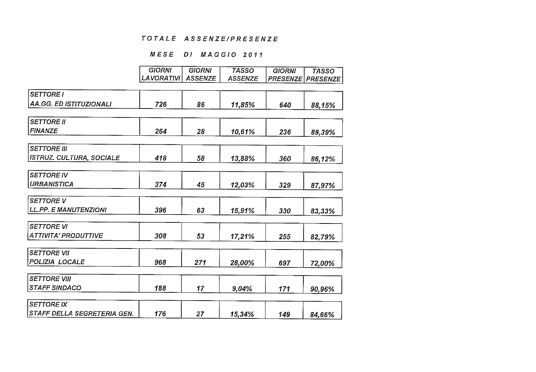## MESE DI MAGGIO 2011

|                                 | <b>GIORNI</b>     | <b>GIORNI</b>  | <b>TASSO</b>   | <b>GIORNI</b> | <b>TASSO</b>             |
|---------------------------------|-------------------|----------------|----------------|---------------|--------------------------|
|                                 | <b>LAVORATIVI</b> | <b>ASSENZE</b> | <b>ASSENZE</b> |               | <b>PRESENZE PRESENZE</b> |
|                                 |                   |                |                |               |                          |
| <b>SETTORE I</b>                |                   |                |                |               |                          |
| <b>AA.GG. ED ISTITUZIONALI</b>  | 726               | 86             | 11,85%         | 640           | 88,15%                   |
|                                 |                   |                |                |               |                          |
| <b>SETTORE II</b>               |                   |                |                |               |                          |
| <b>FINANZE</b>                  | 264               | 28             | 10,61%         | 236           | 89,39%                   |
|                                 |                   |                |                |               |                          |
| <b>SETTORE III</b>              |                   |                |                |               |                          |
| <b>ISTRUZ. CULTURA, SOCIALE</b> | 418               | 58             | 13,88%         | 360           | 86,12%                   |
|                                 |                   |                |                |               |                          |
| <b>SETTORE IV</b>               |                   |                |                |               |                          |
| <b>URBANISTICA</b>              | 374               | 45             | 12,03%         | 329           | 87,97%                   |
|                                 |                   |                |                |               |                          |
| <b>SETTORE V</b>                |                   |                |                |               |                          |
| <b>LL.PP. E MANUTENZIONI</b>    | 396               | 63             | 15,91%         | 330           | 83,33%                   |
| <b>SETTORE VI</b>               |                   |                |                |               |                          |
| <b>ATTIVITA' PRODUTTIVE</b>     | 308               |                |                |               |                          |
|                                 |                   | 53             | 17,21%         | 255           | 82,79%                   |
| <b>SETTORE VII</b>              |                   |                |                |               |                          |
| POLIZIA LOCALE                  | 968               | 271            | 28,00%         | 697           |                          |
|                                 |                   |                |                |               | 72,00%                   |
| <b>SETTORE VIII</b>             |                   |                |                |               |                          |
| <b>STAFF SINDACO</b>            | 188               | 17             | 9,04%          | 171           | 90,96%                   |
|                                 |                   |                |                |               |                          |
| <b>SETTORE IX</b>               |                   |                |                |               |                          |
| STAFF DELLA SEGRETERIA GEN.     | 176               | 27             | 15,34%         | 149           | 84,66%                   |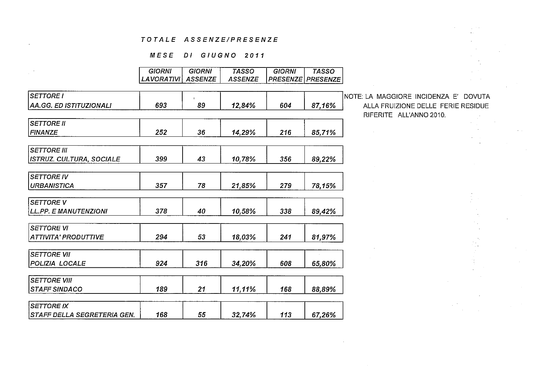## MESE DI GIUGNO 2011

|                                 | GIORNI     | GIORNI         | TASSO          | GIORNI          | TASSO           |              |
|---------------------------------|------------|----------------|----------------|-----------------|-----------------|--------------|
|                                 | LAVORATIVI | <b>ASSENZE</b> | <b>ASSENZE</b> | <b>PRESENZE</b> | <b>PRESENZE</b> |              |
|                                 |            |                |                |                 |                 |              |
| <b>SETTORE I</b>                |            |                |                |                 |                 | NOTE: LA M   |
| AA.GG. ED ISTITUZIONALI         | 693        | 89             | 12,84%         | 604             | 87,16%          | <b>ALLAF</b> |
|                                 |            |                |                |                 |                 | <b>RIFER</b> |
| <b>SETTORE II</b>               |            |                |                |                 |                 |              |
| <b>FINANZE</b>                  | 252        | 36             | 14,29%         | 216             | 85,71%          |              |
| <b>SETTORE III</b>              |            |                |                |                 |                 |              |
| <b>ISTRUZ. CULTURA, SOCIALE</b> | 399        | 43             | 10,78%         | 356             | 89,22%          |              |
|                                 |            |                |                |                 |                 |              |
| <b>SETTORE IV</b>               |            |                |                |                 |                 |              |
| <b>URBANISTICA</b>              | 357        | 78             | 21,85%         | 279             | 78,15%          |              |
| <b>SETTORE V</b>                |            |                |                |                 |                 |              |
| <b>LL.PP. E MANUTENZIONI</b>    | 378        | 40             | 10,58%         | 338             | 89,42%          |              |
| <b>SETTORE VI</b>               |            |                |                |                 |                 |              |
| <b>ATTIVITA' PRODUTTIVE</b>     | 294        | 53             | 18,03%         | 241             | 81,97%          |              |
|                                 |            |                |                |                 |                 |              |
| <b>SETTORE VII</b>              |            |                |                |                 |                 |              |
| POLIZIA LOCALE                  | 924        | 316            | 34,20%         | 608             | 65,80%          |              |
| <b>SETTORE VIII</b>             |            |                |                |                 |                 |              |
| <b>STAFF SINDACO</b>            | 189        | 21             |                | 168             |                 |              |
|                                 |            |                | 11,11%         |                 | 88,89%          |              |
| <b>SETTORE IX</b>               |            |                |                |                 |                 |              |
| STAFF DELLA SEGRETERIA GEN.     | 168        | 55             | 32,74%         | 113             | 67,26%          |              |

AGGIORE INCIDENZA E' DOVUTA FRUIZIONE DELLE FERIE RESIDUE RITE ALL'ANNO 2010.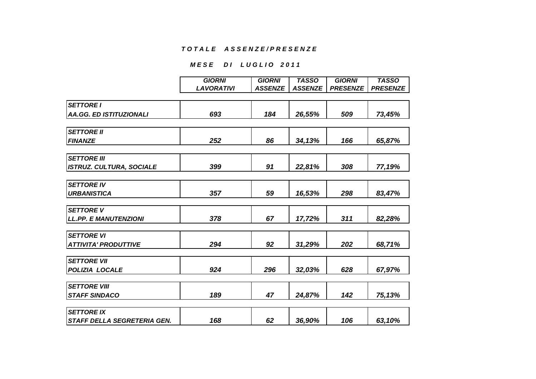## **MESE DI LUGLIO 2011**

|                                 | <b>GIORNI</b>     | <b>GIORNI</b>  | <b>TASSO</b>   | <b>GIORNI</b>   | <b>TASSO</b>    |
|---------------------------------|-------------------|----------------|----------------|-----------------|-----------------|
|                                 | <b>LAVORATIVI</b> | <b>ASSENZE</b> | <b>ASSENZE</b> | <b>PRESENZE</b> | <b>PRESENZE</b> |
|                                 |                   |                |                |                 |                 |
| <b>SETTORE I</b>                |                   |                |                |                 |                 |
| <b>AA.GG. ED ISTITUZIONALI</b>  | 693               | 184            | 26,55%         | 509             | 73,45%          |
|                                 |                   |                |                |                 |                 |
| <b>SETTORE II</b>               |                   |                |                |                 |                 |
| <b>FINANZE</b>                  | 252               | 86             | 34,13%         | 166             | 65,87%          |
|                                 |                   |                |                |                 |                 |
| <b>SETTORE III</b>              |                   |                |                |                 |                 |
| <b>ISTRUZ. CULTURA, SOCIALE</b> | 399               | 91             | 22,81%         | 308             | 77,19%          |
|                                 |                   |                |                |                 |                 |
| <b>SETTORE IV</b>               |                   |                |                |                 |                 |
| <b>URBANISTICA</b>              | 357               | 59             | 16,53%         | 298             | 83,47%          |
|                                 |                   |                |                |                 |                 |
| <b>SETTORE V</b>                |                   |                |                |                 |                 |
| <b>LL.PP. E MANUTENZIONI</b>    | 378               | 67             | 17,72%         | 311             | 82,28%          |
|                                 |                   |                |                |                 |                 |
| <b>SETTORE VI</b>               |                   |                |                |                 |                 |
| <b>ATTIVITA' PRODUTTIVE</b>     | 294               | 92             | 31,29%         | 202             | 68,71%          |
|                                 |                   |                |                |                 |                 |
| <b>SETTORE VII</b>              |                   |                |                |                 |                 |
| POLIZIA LOCALE                  | 924               | 296            | 32,03%         | 628             | 67,97%          |
|                                 |                   |                |                |                 |                 |
| <b>SETTORE VIII</b>             |                   |                |                |                 |                 |
| <b>STAFF SINDACO</b>            | 189               | 47             | 24,87%         | 142             | 75,13%          |
| <b>SETTORE IX</b>               |                   |                |                |                 |                 |
|                                 |                   |                |                |                 |                 |
| STAFF DELLA SEGRETERIA GEN.     | 168               | 62             | 36,90%         | 106             | 63,10%          |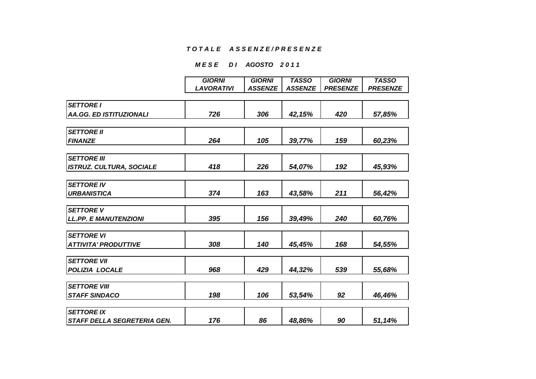## **MESE DI AGOSTO 2011**

|                                 | <b>GIORNI</b>     | <b>GIORNI</b>  | <b>TASSO</b>   | <b>GIORNI</b>   | <b>TASSO</b>    |
|---------------------------------|-------------------|----------------|----------------|-----------------|-----------------|
|                                 | <b>LAVORATIVI</b> | <b>ASSENZE</b> | <b>ASSENZE</b> | <b>PRESENZE</b> | <b>PRESENZE</b> |
|                                 |                   |                |                |                 |                 |
| <b>SETTORE I</b>                |                   |                |                |                 |                 |
| <b>AA.GG. ED ISTITUZIONALI</b>  | 726               | 306            | 42,15%         | 420             | 57,85%          |
|                                 |                   |                |                |                 |                 |
| <b>SETTORE II</b>               |                   |                |                |                 |                 |
| <b>FINANZE</b>                  | 264               | 105            | 39,77%         | 159             | 60,23%          |
| <b>SETTORE III</b>              |                   |                |                |                 |                 |
| <b>ISTRUZ. CULTURA, SOCIALE</b> | 418               | 226            | 54,07%         | 192             | 45,93%          |
|                                 |                   |                |                |                 |                 |
| <b>SETTORE IV</b>               |                   |                |                |                 |                 |
| <b>URBANISTICA</b>              | 374               | 163            | 43,58%         | 211             | 56,42%          |
| <b>SETTORE V</b>                |                   |                |                |                 |                 |
|                                 |                   |                |                |                 |                 |
| <b>LL.PP. E MANUTENZIONI</b>    | 395               | 156            | 39,49%         | 240             | 60,76%          |
| <b>SETTORE VI</b>               |                   |                |                |                 |                 |
| <b>ATTIVITA' PRODUTTIVE</b>     | 308               | 140            | 45,45%         | 168             | 54,55%          |
| <b>SETTORE VII</b>              |                   |                |                |                 |                 |
| POLIZIA LOCALE                  | 968               | 429            | 44,32%         | 539             | 55,68%          |
|                                 |                   |                |                |                 |                 |
| <b>SETTORE VIII</b>             |                   |                |                |                 |                 |
| <b>STAFF SINDACO</b>            | 198               | 106            | 53,54%         | 92              | 46,46%          |
| <b>SETTORE IX</b>               |                   |                |                |                 |                 |
| STAFF DELLA SEGRETERIA GEN.     | 176               | 86             | 48,86%         | 90              | 51,14%          |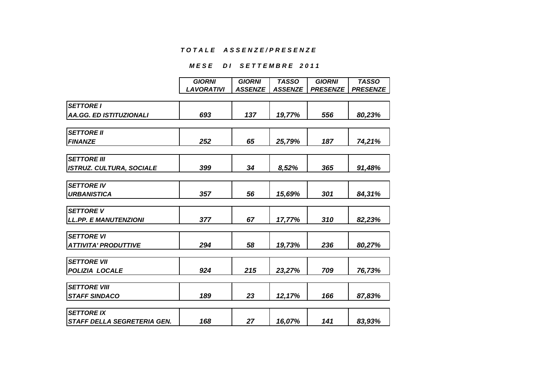#### **MESE DI SETTEMBRE 2011**

|                                    | <b>GIORNI</b>     | <b>GIORNI</b>  | <b>TASSO</b>   | <b>GIORNI</b>   | <b>TASSO</b>    |
|------------------------------------|-------------------|----------------|----------------|-----------------|-----------------|
|                                    | <b>LAVORATIVI</b> | <b>ASSENZE</b> | <b>ASSENZE</b> | <b>PRESENZE</b> | <b>PRESENZE</b> |
|                                    |                   |                |                |                 |                 |
| <b>SETTORE I</b>                   |                   |                |                |                 |                 |
| <b>AA.GG. ED ISTITUZIONALI</b>     | 693               | 137            | 19,77%         | 556             | 80,23%          |
|                                    |                   |                |                |                 |                 |
| <b>SETTORE II</b>                  |                   |                |                |                 |                 |
| <b>FINANZE</b>                     | 252               | 65             | 25,79%         | 187             | 74,21%          |
| <b>SETTORE III</b>                 |                   |                |                |                 |                 |
| <b>ISTRUZ. CULTURA, SOCIALE</b>    | 399               | 34             | 8,52%          | 365             | 91,48%          |
|                                    |                   |                |                |                 |                 |
| <b>SETTORE IV</b>                  |                   |                |                |                 |                 |
| <b>URBANISTICA</b>                 | 357               | 56             | 15,69%         | 301             | 84,31%          |
| <b>SETTORE V</b>                   |                   |                |                |                 |                 |
| <b>LL.PP. E MANUTENZIONI</b>       | 377               | 67             | 17,77%         | 310             | 82,23%          |
|                                    |                   |                |                |                 |                 |
| <b>SETTORE VI</b>                  |                   |                |                |                 |                 |
| <b>ATTIVITA' PRODUTTIVE</b>        | 294               | 58             | 19,73%         | 236             | 80,27%          |
| <b>SETTORE VII</b>                 |                   |                |                |                 |                 |
| POLIZIA LOCALE                     | 924               | 215            | 23,27%         | 709             | 76,73%          |
| <b>SETTORE VIII</b>                |                   |                |                |                 |                 |
| <b>STAFF SINDACO</b>               | 189               | 23             | 12,17%         | 166             | 87,83%          |
|                                    |                   |                |                |                 |                 |
| <b>SETTORE IX</b>                  |                   |                |                |                 |                 |
| <b>STAFF DELLA SEGRETERIA GEN.</b> | 168               | 27             | 16,07%         | 141             | 83,93%          |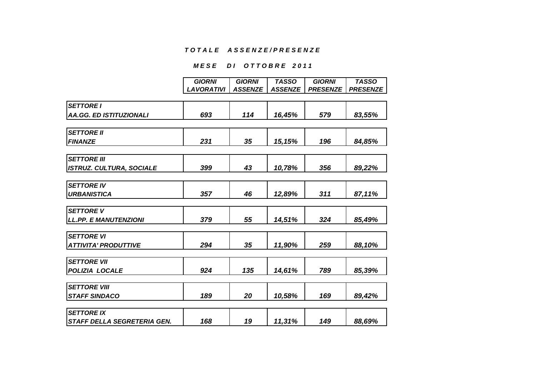## **MESE DI OTTOBRE 2011**

| <b>GIORNI</b>     | <b>GIORNI</b>                   | <b>TASSO</b>                | <b>GIORNI</b>                        | <b>TASSO</b>                    |
|-------------------|---------------------------------|-----------------------------|--------------------------------------|---------------------------------|
| <b>LAVORATIVI</b> | <b>ASSENZE</b>                  | <b>ASSENZE</b>              | <b>PRESENZE</b>                      | <b>PRESENZE</b>                 |
|                   |                                 |                             |                                      |                                 |
|                   |                                 |                             |                                      |                                 |
| 693               | 114                             | 16,45%                      | 579                                  | 83,55%                          |
|                   |                                 |                             |                                      |                                 |
|                   |                                 |                             |                                      |                                 |
| 231               | 35                              | 15,15%                      | 196                                  | 84,85%                          |
|                   |                                 |                             |                                      |                                 |
|                   |                                 |                             |                                      |                                 |
| 399               | 43                              | 10,78%                      | 356                                  | 89,22%                          |
|                   |                                 |                             |                                      |                                 |
|                   |                                 |                             |                                      |                                 |
| 357               | 46                              | 12,89%                      | 311                                  | 87,11%                          |
|                   |                                 |                             |                                      |                                 |
|                   |                                 |                             |                                      |                                 |
|                   |                                 | 14,51%                      |                                      | 85,49%                          |
|                   |                                 |                             |                                      |                                 |
|                   |                                 |                             |                                      |                                 |
|                   |                                 |                             |                                      | 88,10%                          |
|                   |                                 |                             |                                      |                                 |
|                   |                                 |                             |                                      |                                 |
|                   |                                 |                             |                                      | 85,39%                          |
|                   |                                 |                             |                                      |                                 |
|                   |                                 |                             |                                      |                                 |
|                   |                                 |                             |                                      | 89,42%                          |
|                   |                                 |                             |                                      |                                 |
|                   |                                 |                             |                                      | 88,69%                          |
|                   | 379<br>294<br>924<br>189<br>168 | 55<br>35<br>135<br>20<br>19 | 11,90%<br>14,61%<br>10,58%<br>11,31% | 324<br>259<br>789<br>169<br>149 |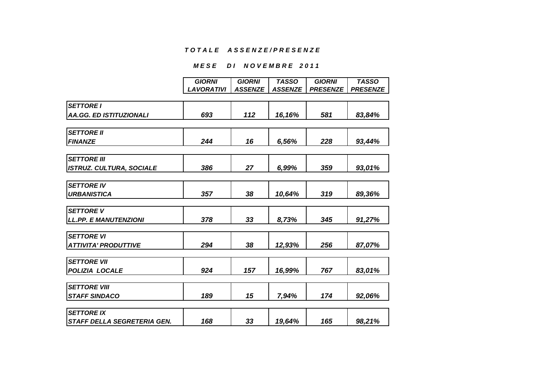#### **MESE DI NOVEMBRE 2011**

|                                 | <b>GIORNI</b>     | <b>GIORNI</b>  | <b>TASSO</b>   | <b>GIORNI</b>   | <b>TASSO</b>    |
|---------------------------------|-------------------|----------------|----------------|-----------------|-----------------|
|                                 | <b>LAVORATIVI</b> |                |                |                 |                 |
|                                 |                   | <b>ASSENZE</b> | <b>ASSENZE</b> | <b>PRESENZE</b> | <b>PRESENZE</b> |
| <b>SETTORE I</b>                |                   |                |                |                 |                 |
|                                 |                   |                |                |                 |                 |
| <b>AA.GG. ED ISTITUZIONALI</b>  | 693               | 112            | 16,16%         | 581             | 83,84%          |
|                                 |                   |                |                |                 |                 |
| <b>SETTORE II</b>               |                   |                |                |                 |                 |
| <b>FINANZE</b>                  | 244               | 16             | 6,56%          | 228             | 93,44%          |
|                                 |                   |                |                |                 |                 |
| <b>SETTORE III</b>              |                   |                |                |                 |                 |
| <b>ISTRUZ. CULTURA, SOCIALE</b> | 386               | 27             | 6,99%          | 359             | 93,01%          |
|                                 |                   |                |                |                 |                 |
| <b>SETTORE IV</b>               |                   |                |                |                 |                 |
| <b>URBANISTICA</b>              | 357               | 38             | 10,64%         | 319             | 89,36%          |
|                                 |                   |                |                |                 |                 |
| <b>SETTORE V</b>                |                   |                |                |                 |                 |
| <b>LL.PP. E MANUTENZIONI</b>    | 378               | 33             | 8,73%          | 345             | 91,27%          |
|                                 |                   |                |                |                 |                 |
| <b>SETTORE VI</b>               |                   |                |                |                 |                 |
| <b>ATTIVITA' PRODUTTIVE</b>     | 294               | 38             | 12,93%         | 256             | 87,07%          |
|                                 |                   |                |                |                 |                 |
| <b>SETTORE VII</b>              |                   |                |                |                 |                 |
| POLIZIA LOCALE                  | 924               | 157            | 16,99%         | 767             | 83,01%          |
|                                 |                   |                |                |                 |                 |
| <b>SETTORE VIII</b>             |                   |                |                |                 |                 |
| <b>STAFF SINDACO</b>            | 189               | 15             | 7,94%          | 174             | 92,06%          |
|                                 |                   |                |                |                 |                 |
| <b>SETTORE IX</b>               |                   |                |                |                 |                 |
| STAFF DELLA SEGRETERIA GEN.     | 168               | 33             | 19,64%         | 165             | 98,21%          |